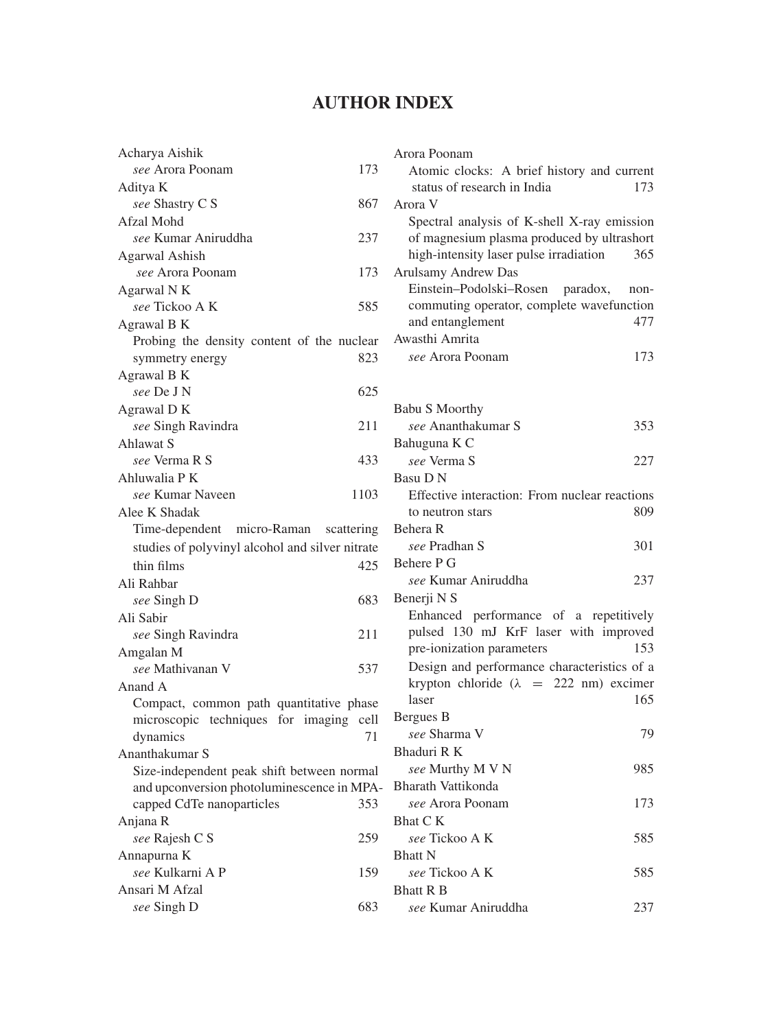## **AUTHOR INDEX**

| Acharya Aishik                                  |      |
|-------------------------------------------------|------|
| see Arora Poonam                                | 173  |
| Aditya K                                        |      |
| see Shastry C S                                 | 867  |
| Afzal Mohd                                      |      |
| see Kumar Aniruddha                             | 237  |
| Agarwal Ashish                                  |      |
| see Arora Poonam                                | 173  |
| Agarwal N K                                     |      |
| see Tickoo A K                                  | 585  |
| Agrawal B K                                     |      |
| Probing the density content of the nuclear      |      |
| symmetry energy                                 | 823  |
| Agrawal B K                                     |      |
| see De J N                                      | 625  |
| Agrawal DK                                      |      |
| see Singh Ravindra                              | 211  |
| Ahlawat S                                       |      |
| see Verma R S                                   | 433  |
| Ahluwalia P K                                   |      |
| see Kumar Naveen                                | 1103 |
| Alee K Shadak                                   |      |
| Time-dependent micro-Raman scattering           |      |
| studies of polyvinyl alcohol and silver nitrate |      |
| thin films                                      | 425  |
| Ali Rahbar                                      |      |
| see Singh D                                     | 683  |
| Ali Sabir                                       |      |
| see Singh Ravindra                              | 211  |
| Amgalan M                                       |      |
| see Mathivanan V                                | 537  |
| Anand A                                         |      |
| Compact, common path quantitative phase         |      |
| microscopic techniques for imaging              | cell |
| dynamics                                        | 71   |
| Ananthakumar S                                  |      |
| Size-independent peak shift between normal      |      |
| and upconversion photoluminescence in MPA-      |      |
| capped CdTe nanoparticles                       | 353  |
| Anjana R                                        |      |
| see Rajesh C S                                  | 259  |
| Annapurna K                                     |      |
| see Kulkarni A P                                | 159  |
| Ansari M Afzal                                  |      |
| see Singh D                                     | 683  |
|                                                 |      |

| Arora Poonam                                   |      |
|------------------------------------------------|------|
| Atomic clocks: A brief history and current     |      |
| status of research in India                    | 173  |
| Arora V                                        |      |
| Spectral analysis of K-shell X-ray emission    |      |
| of magnesium plasma produced by ultrashort     |      |
| high-intensity laser pulse irradiation         | 365  |
| Arulsamy Andrew Das                            |      |
| Einstein-Podolski-Rosen paradox,               | non- |
| commuting operator, complete wavefunction      |      |
| and entanglement                               | 477  |
| Awasthi Amrita                                 |      |
| see Arora Poonam                               | 173  |
|                                                |      |
|                                                |      |
| <b>Babu S Moorthy</b>                          |      |
| see Ananthakumar S                             | 353  |
| Bahuguna K C                                   |      |
| see Verma S                                    | 227  |
| Basu D N                                       |      |
| Effective interaction: From nuclear reactions  |      |
| to neutron stars                               | 809  |
| Behera R                                       |      |
| see Pradhan S                                  | 301  |
| Behere P G                                     |      |
| see Kumar Aniruddha                            | 237  |
| Benerji N S                                    |      |
| Enhanced performance of a repetitively         |      |
| pulsed 130 mJ KrF laser with improved          |      |
| pre-ionization parameters                      | 153  |
| Design and performance characteristics of a    |      |
| krypton chloride ( $\lambda$ = 222 nm) excimer |      |
| laser                                          | 165  |
| Bergues B                                      |      |
| see Sharma V                                   | 79   |
| Bhaduri R K                                    |      |
| see Murthy M V N                               | 985  |
| Bharath Vattikonda                             |      |
| see Arora Poonam                               | 173  |
| Bhat C K                                       |      |
| see Tickoo A K                                 | 585  |
| <b>Bhatt N</b>                                 |      |
| see Tickoo A K                                 | 585  |
| <b>Bhatt R B</b>                               |      |
| see Kumar Aniruddha                            | 237  |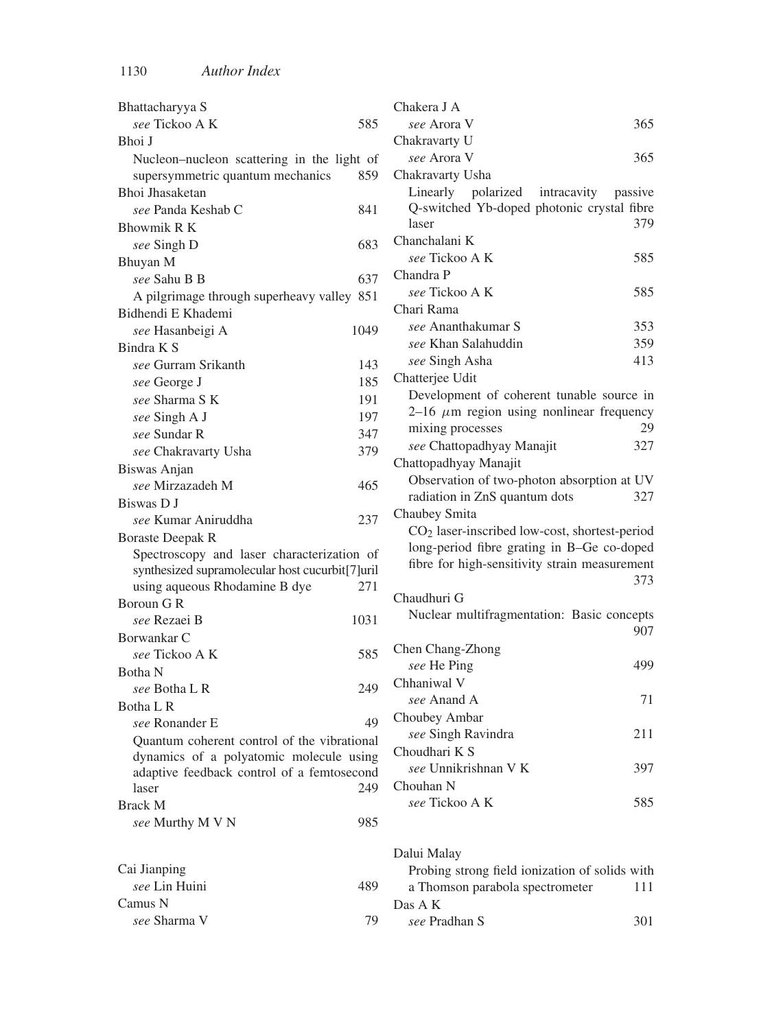| Bhattacharyya S                                            | Chakera J A                                               |
|------------------------------------------------------------|-----------------------------------------------------------|
| see Tickoo A K<br>585                                      | 365<br>see Arora V                                        |
| Bhoi J                                                     | Chakravarty U                                             |
| Nucleon–nucleon scattering in the light of                 | 365<br>see Arora V                                        |
| supersymmetric quantum mechanics<br>859                    | Chakravarty Usha                                          |
| Bhoi Jhasaketan                                            | Linearly<br>polarized<br>intracavity<br>passive           |
| see Panda Keshab C<br>841                                  | Q-switched Yb-doped photonic crystal fibre                |
| Bhowmik R K                                                | 379<br>laser                                              |
| see Singh D<br>683                                         | Chanchalani K                                             |
| Bhuyan M                                                   | see Tickoo A K<br>585                                     |
| see Sahu B B<br>637                                        | Chandra P                                                 |
| A pilgrimage through superheavy valley 851                 | see Tickoo A K<br>585                                     |
| Bidhendi E Khademi                                         | Chari Rama                                                |
| see Hasanbeigi A<br>1049                                   | see Ananthakumar S<br>353                                 |
| Bindra K S                                                 | see Khan Salahuddin<br>359                                |
| see Gurram Srikanth<br>143                                 | see Singh Asha<br>413                                     |
| 185<br>see George J                                        | Chatterjee Udit                                           |
| see Sharma S K<br>191                                      | Development of coherent tunable source in                 |
| see Singh A J<br>197                                       | 2-16 $\mu$ m region using nonlinear frequency             |
| see Sundar R                                               | mixing processes<br>29                                    |
| 347                                                        | see Chattopadhyay Manajit<br>327                          |
| 379<br>see Chakravarty Usha                                | Chattopadhyay Manajit                                     |
| Biswas Anjan                                               | Observation of two-photon absorption at UV                |
| see Mirzazadeh M<br>465                                    | radiation in ZnS quantum dots<br>327                      |
| Biswas D J                                                 | Chaubey Smita                                             |
| see Kumar Aniruddha<br>237                                 | CO <sub>2</sub> laser-inscribed low-cost, shortest-period |
| <b>Boraste Deepak R</b>                                    | long-period fibre grating in B-Ge co-doped                |
| Spectroscopy and laser characterization of                 | fibre for high-sensitivity strain measurement             |
| synthesized supramolecular host cucurbit[7]uril            | 373                                                       |
| using aqueous Rhodamine B dye<br>271                       | Chaudhuri G                                               |
| Boroun G R                                                 | Nuclear multifragmentation: Basic concepts                |
| see Rezaei B<br>1031                                       | 907                                                       |
| Borwankar C                                                | Chen Chang-Zhong                                          |
| 585<br>see Tickoo A K                                      | 499<br>see He Ping                                        |
| Botha N                                                    | Chhaniwal V                                               |
| 249<br>see Botha L R                                       | see Anand A<br>71                                         |
| Botha L R                                                  | Choubey Ambar                                             |
| 49<br>see Ronander E                                       | see Singh Ravindra<br>211                                 |
| Quantum coherent control of the vibrational                | Choudhari K S                                             |
| dynamics of a polyatomic molecule using                    | see Unnikrishnan V K<br>397                               |
| adaptive feedback control of a femtosecond<br>249<br>laser | Chouhan N                                                 |
| <b>Brack M</b>                                             | see Tickoo A K<br>585                                     |
| 985                                                        |                                                           |
| see Murthy M V N                                           |                                                           |
|                                                            | Dalui Malay                                               |
| Cai Jianping                                               | Probing strong field ionization of solids with            |
| see Lin Huini<br>489                                       | a Thomson parabola spectrometer<br>111                    |
| Camus N                                                    | Das A K                                                   |
| 79<br>see Sharma V                                         | see Pradhan S<br>301                                      |

79 *see* Pradhan S 301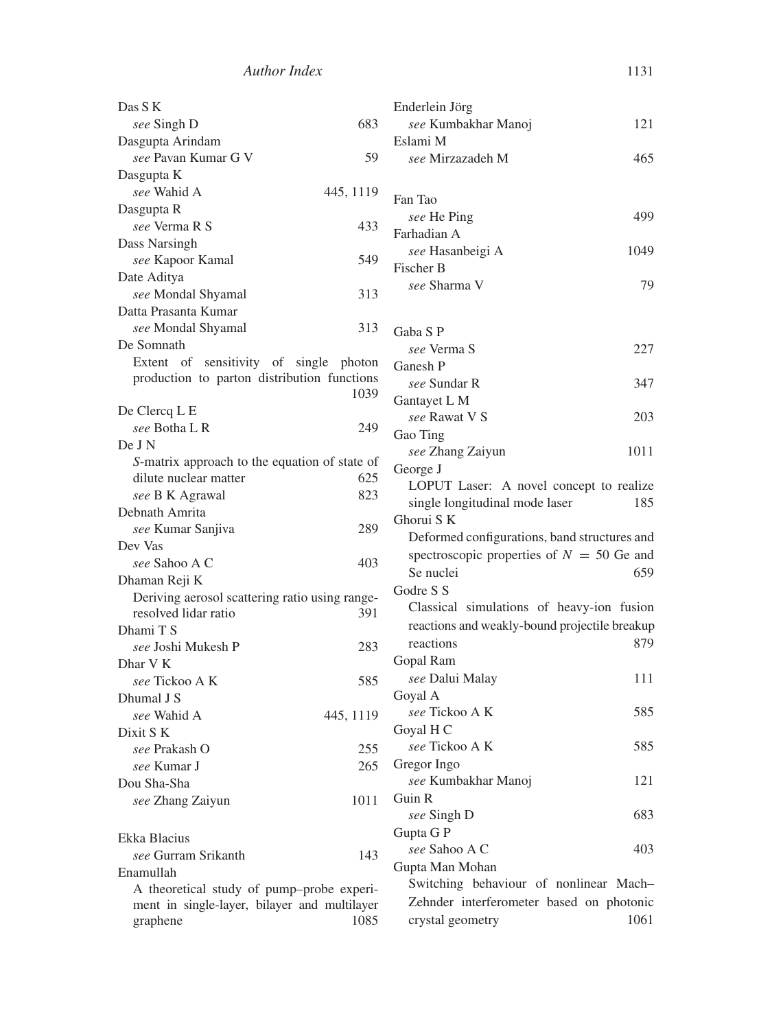| Das S K                                        | Enderlein Jörg                                |
|------------------------------------------------|-----------------------------------------------|
| 683<br>see Singh D                             | see Kumbakhar Manoj<br>121                    |
| Dasgupta Arindam                               | Eslami M                                      |
| see Pavan Kumar G V<br>59                      | see Mirzazadeh M<br>465                       |
| Dasgupta K                                     |                                               |
| see Wahid A<br>445, 1119                       | Fan Tao                                       |
| Dasgupta R                                     | 499                                           |
| see Verma R S<br>433                           | see He Ping                                   |
| Dass Narsingh                                  | Farhadian A<br>1049                           |
| see Kapoor Kamal<br>549                        | see Hasanbeigi A                              |
| Date Aditya                                    | Fischer B<br>see Sharma V                     |
| see Mondal Shyamal<br>313                      | 79                                            |
| Datta Prasanta Kumar                           |                                               |
| see Mondal Shyamal<br>313                      | Gaba S P                                      |
| De Somnath                                     | see Verma S<br>227                            |
| Extent of sensitivity of single photon         | Ganesh P                                      |
| production to parton distribution functions    | see Sundar R<br>347                           |
| 1039                                           | Gantayet L M                                  |
| De Clercq L E                                  | see Rawat V S<br>203                          |
| see Botha L R<br>249                           | Gao Ting                                      |
| De J N                                         | see Zhang Zaiyun<br>1011                      |
| S-matrix approach to the equation of state of  | George J                                      |
| dilute nuclear matter<br>625                   | LOPUT Laser: A novel concept to realize       |
| 823<br>see B K Agrawal                         | single longitudinal mode laser<br>185         |
| Debnath Amrita                                 | Ghorui S K                                    |
| 289<br>see Kumar Sanjiva                       | Deformed configurations, band structures and  |
| Dev Vas                                        | spectroscopic properties of $N = 50$ Ge and   |
| see Sahoo A C<br>403                           | Se nuclei<br>659                              |
| Dhaman Reji K                                  | Godre S S                                     |
| Deriving aerosol scattering ratio using range- | Classical simulations of heavy-ion fusion     |
| resolved lidar ratio<br>391                    |                                               |
| Dhami T S                                      | reactions and weakly-bound projectile breakup |
| see Joshi Mukesh P<br>283                      | reactions<br>879                              |
| Dhar V K                                       | Gopal Ram                                     |
| 585<br>see Tickoo A K                          | see Dalui Malay<br>111                        |
| Dhumal J S                                     | Goyal A                                       |
| see Wahid A<br>445, 1119                       | see Tickoo A K<br>585                         |
| Dixit S K                                      | Goyal H C                                     |
| see Prakash O<br>255                           | see Tickoo A K<br>585                         |
| 265<br>see Kumar J                             | Gregor Ingo                                   |
| Dou Sha-Sha                                    | see Kumbakhar Manoj<br>121                    |
| 1011<br>see Zhang Zaiyun                       | Guin R                                        |
|                                                | 683<br>see Singh D                            |
| Ekka Blacius                                   | Gupta G P                                     |
| see Gurram Srikanth<br>143                     | see Sahoo A C<br>403                          |
| Enamullah                                      | Gupta Man Mohan                               |
| A theoretical study of pump-probe experi-      | Switching behaviour of nonlinear Mach-        |
| ment in single-layer, bilayer and multilayer   | Zehnder interferometer based on photonic      |
| graphene<br>1085                               | crystal geometry<br>1061                      |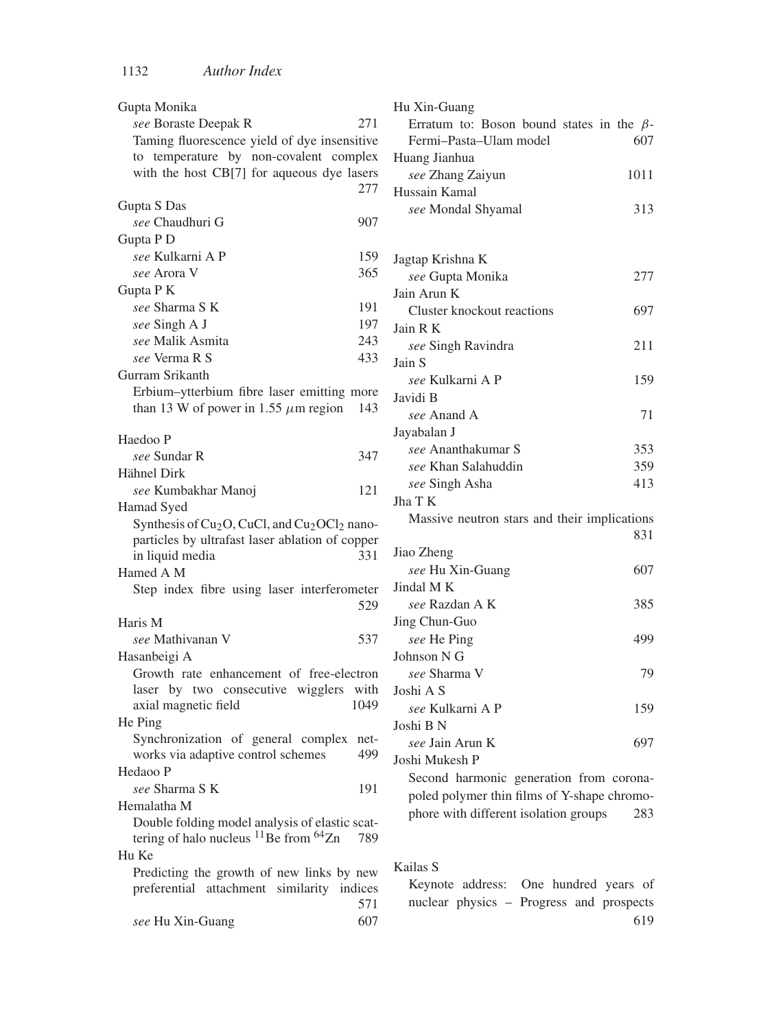| Gupta Monika                                                                                        | ŀ |
|-----------------------------------------------------------------------------------------------------|---|
| see Boraste Deepak R<br>271                                                                         |   |
| Taming fluorescence yield of dye insensitive                                                        |   |
| to temperature by non-covalent complex                                                              | F |
| with the host CB[7] for aqueous dye lasers                                                          |   |
| 277                                                                                                 | ŀ |
| Gupta S Das                                                                                         |   |
| see Chaudhuri G<br>907                                                                              |   |
| Gupta P D                                                                                           |   |
| see Kulkarni A P<br>159                                                                             | J |
| 365<br>see Arora V                                                                                  |   |
| Gupta P K                                                                                           | J |
| see Sharma S K<br>191                                                                               |   |
| 197<br>see Singh A J                                                                                | J |
| see Malik Asmita<br>243                                                                             |   |
| see Verma R S<br>433                                                                                |   |
| Gurram Srikanth                                                                                     | J |
| Erbium-ytterbium fibre laser emitting more                                                          |   |
| than 13 W of power in 1.55 $\mu$ m region<br>143                                                    | J |
|                                                                                                     |   |
| Haedoo P                                                                                            | J |
| see Sundar R<br>347                                                                                 |   |
| Hähnel Dirk                                                                                         |   |
| see Kumbakhar Manoj<br>121                                                                          |   |
| Hamad Syed                                                                                          | J |
| Synthesis of Cu <sub>2</sub> O, CuCl, and Cu <sub>2</sub> OCl <sub>2</sub> nano-                    |   |
| particles by ultrafast laser ablation of copper                                                     |   |
| 331<br>in liquid media                                                                              | J |
| Hamed A M                                                                                           |   |
| Step index fibre using laser interferometer                                                         | J |
| 529                                                                                                 |   |
| Haris M                                                                                             | J |
| <i>see</i> Mathivanan V<br>537                                                                      |   |
| Hasanbeigi A                                                                                        | J |
| Growth rate enhancement of free-electron                                                            |   |
| laser by two consecutive wigglers<br>with                                                           | J |
| 1049<br>axial magnetic field                                                                        |   |
| He Ping                                                                                             |   |
| Synchronization of general complex<br>net-                                                          | J |
| works via adaptive control schemes<br>499                                                           |   |
| Hedaoo P                                                                                            | J |
| see Sharma S K<br>191                                                                               |   |
|                                                                                                     |   |
| Hemalatha M                                                                                         |   |
| Double folding model analysis of elastic scat-<br>tering of halo nucleus $^{11}$ Be from $^{64}$ Zn |   |
| 789                                                                                                 |   |
| Hu Ke                                                                                               | F |
| Predicting the growth of new links by new                                                           |   |
| preferential attachment similarity indices                                                          |   |
| 571                                                                                                 |   |
| 607<br>see Hu Xin-Guang                                                                             |   |

| Hu Xin-Guang                                    |      |
|-------------------------------------------------|------|
| Erratum to: Boson bound states in the $\beta$ - |      |
| Fermi-Pasta-Ulam model                          | 607  |
| Huang Jianhua                                   |      |
| see Zhang Zaiyun                                | 1011 |
| Hussain Kamal                                   |      |
| see Mondal Shyamal                              | 313  |
|                                                 |      |
|                                                 |      |
| Jagtap Krishna K                                |      |
| see Gupta Monika                                | 277  |
| Jain Arun K                                     |      |
| <b>Cluster knockout reactions</b>               | 697  |
| Jain R K                                        |      |
| see Singh Ravindra                              | 211  |
| Jain S                                          |      |
| see Kulkarni A P                                | 159  |
| Javidi B                                        |      |
| see Anand A                                     | 71   |
| Jayabalan J                                     |      |
| see Ananthakumar S                              | 353  |
| see Khan Salahuddin                             | 359  |
| see Singh Asha                                  | 413  |
| Jha T K                                         |      |
| Massive neutron stars and their implications    |      |
|                                                 | 831  |
| Jiao Zheng                                      |      |
| see Hu Xin-Guang                                | 607  |
| Jindal MK                                       |      |
| see Razdan A K                                  | 385  |
| Jing Chun-Guo                                   |      |
| see He Ping                                     | 499  |
| Johnson N G                                     |      |
| see Sharma V                                    | 79   |
| Joshi A S                                       |      |
|                                                 |      |
| see Kulkarni A P                                | 159  |
| Joshi B N                                       |      |
| see Jain Arun K                                 | 697  |
| Joshi Mukesh P                                  |      |
| Second harmonic generation from corona-         |      |
| poled polymer thin films of Y-shape chromo-     |      |
| phore with different isolation groups           | 283  |

Kailas S

Keynote address: One hundred years of nuclear physics – Progress and prospects 619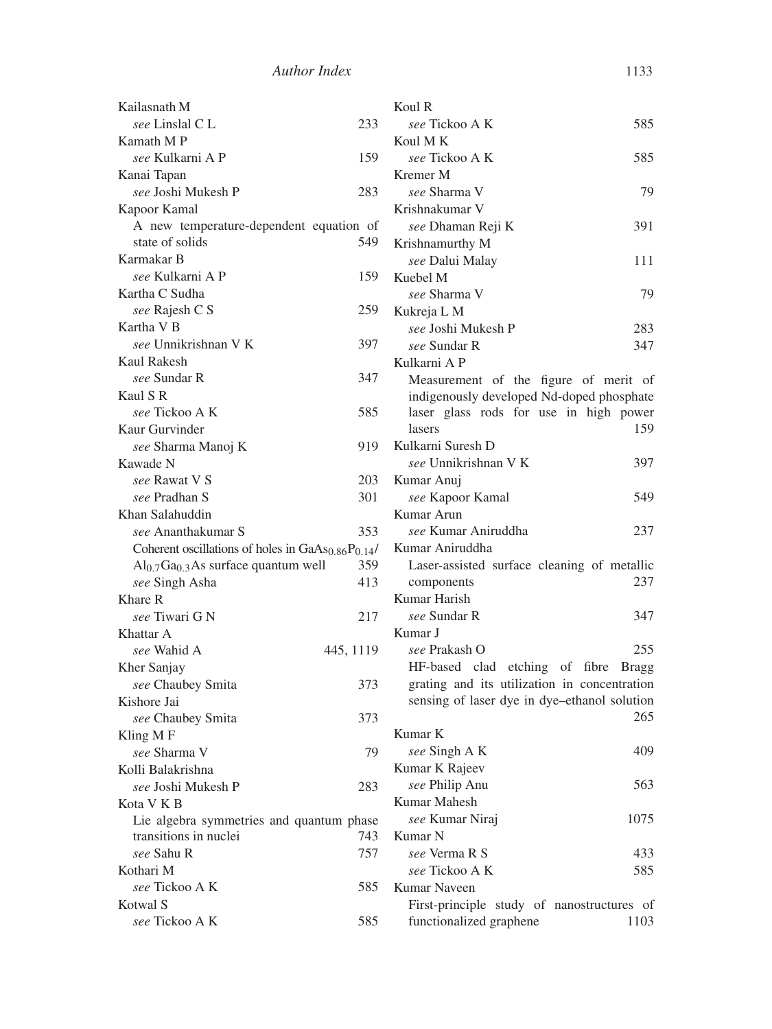| Kailasnath M                                        |           | Koul R                                       |      |
|-----------------------------------------------------|-----------|----------------------------------------------|------|
| <i>see</i> Linslal C L                              | 233       | see Tickoo A K                               | 585  |
| Kamath M P                                          |           | Koul M K                                     |      |
| see Kulkarni A P                                    | 159       | see Tickoo A K                               | 585  |
| Kanai Tapan                                         |           | Kremer M                                     |      |
| see Joshi Mukesh P                                  | 283       | see Sharma V                                 | 79   |
| Kapoor Kamal                                        |           | Krishnakumar V                               |      |
| A new temperature-dependent equation of             |           | see Dhaman Reji K                            | 391  |
| state of solids                                     | 549       | Krishnamurthy M                              |      |
| Karmakar B                                          |           | see Dalui Malay                              | 111  |
| <i>see</i> Kulkarni A P                             | 159       | Kuebel M                                     |      |
| Kartha C Sudha                                      |           | see Sharma V                                 | 79   |
| see Rajesh C S                                      | 259       | Kukreja L M                                  |      |
| Kartha V B                                          |           | see Joshi Mukesh P                           | 283  |
| see Unnikrishnan V K                                | 397       | see Sundar R                                 | 347  |
| <b>Kaul Rakesh</b>                                  |           | Kulkarni A P                                 |      |
| see Sundar R                                        | 347       | Measurement of the figure of merit of        |      |
| Kaul S R                                            |           | indigenously developed Nd-doped phosphate    |      |
| see Tickoo A K                                      | 585       | laser glass rods for use in high power       |      |
| Kaur Gurvinder                                      |           | lasers                                       | 159  |
| see Sharma Manoj K                                  | 919       | Kulkarni Suresh D                            |      |
| Kawade N                                            |           | see Unnikrishnan V K                         | 397  |
| see Rawat V S                                       | 203       | Kumar Anuj                                   |      |
| see Pradhan S                                       | 301       | see Kapoor Kamal                             | 549  |
| Khan Salahuddin                                     |           | Kumar Arun                                   |      |
| see Ananthakumar S                                  | 353       | see Kumar Aniruddha                          | 237  |
| Coherent oscillations of holes in $GaAs0.86P0.14$ / |           | Kumar Aniruddha                              |      |
| $Al0.7 Ga0.3 As surface quantum well$               | 359       | Laser-assisted surface cleaning of metallic  |      |
| see Singh Asha                                      | 413       | components<br>Kumar Harish                   | 237  |
| Khare R                                             |           | see Sundar R                                 |      |
| see Tiwari G N                                      | 217       | Kumar J                                      | 347  |
| Khattar A<br>see Wahid A                            | 445, 1119 | see Prakash O                                | 255  |
|                                                     |           | HF-based clad etching of fibre Bragg         |      |
| Kher Sanjay<br>see Chaubey Smita                    | 373       | grating and its utilization in concentration |      |
| Kishore Jai                                         |           | sensing of laser dye in dye-ethanol solution |      |
| see Chaubey Smita                                   | 373       |                                              | 265  |
| Kling MF                                            |           | Kumar K                                      |      |
| see Sharma V                                        | 79        | see Singh A K                                | 409  |
| Kolli Balakrishna                                   |           | Kumar K Rajeev                               |      |
| see Joshi Mukesh P                                  | 283       | see Philip Anu                               | 563  |
| Kota V K B                                          |           | <b>Kumar Mahesh</b>                          |      |
| Lie algebra symmetries and quantum phase            |           | see Kumar Niraj                              | 1075 |
| transitions in nuclei                               | 743       | Kumar N                                      |      |
| see Sahu R                                          | 757       | see Verma R S                                | 433  |
| Kothari M                                           |           | see Tickoo A K                               | 585  |
| see Tickoo A K                                      | 585       | Kumar Naveen                                 |      |
| Kotwal S                                            |           | First-principle study of nanostructures of   |      |
| see Tickoo A K                                      | 585       | functionalized graphene                      | 1103 |
|                                                     |           |                                              |      |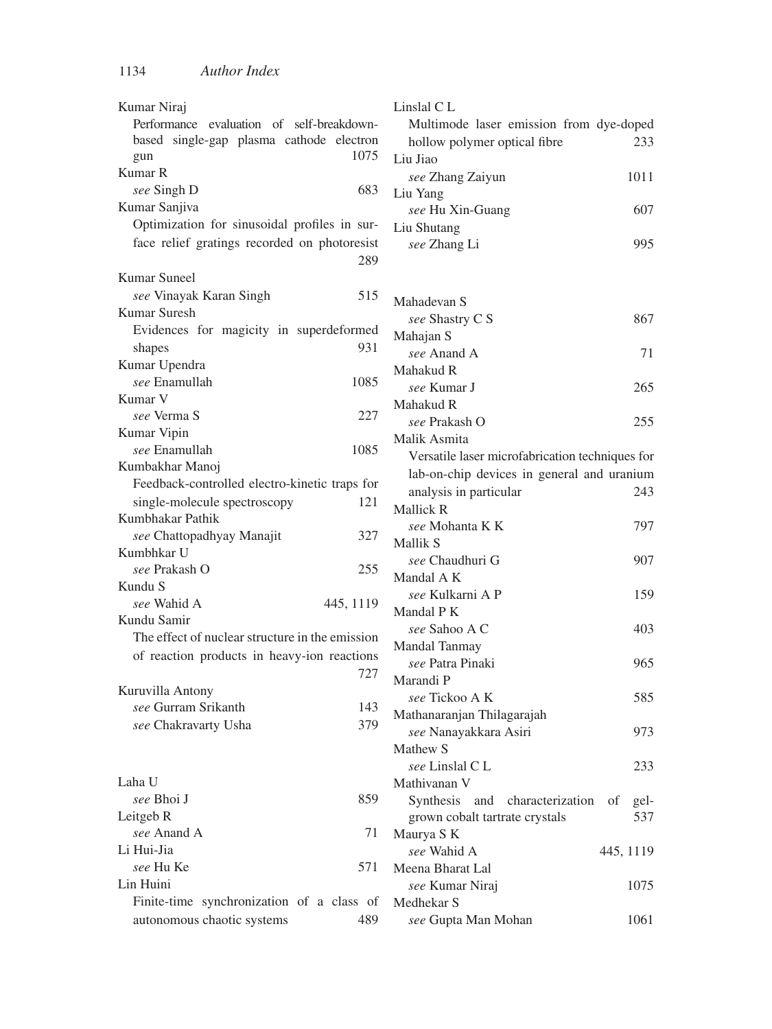| Kumar Niraj                                         | Linslal C L                                     |
|-----------------------------------------------------|-------------------------------------------------|
| Performance evaluation of self-breakdown-           | Multimode laser emission from dye-doped         |
| based single-gap plasma cathode electron            | hollow polymer optical fibre<br>233             |
| 1075<br>gun                                         | Liu Jiao                                        |
| Kumar R                                             | 1011<br>see Zhang Zaiyun                        |
| see Singh D<br>683                                  | Liu Yang                                        |
| Kumar Sanjiva                                       | 607<br>see Hu Xin-Guang                         |
| Optimization for sinusoidal profiles in sur-        | Liu Shutang                                     |
| face relief gratings recorded on photoresist<br>289 | 995<br>see Zhang Li                             |
| Kumar Suneel                                        |                                                 |
| see Vinayak Karan Singh<br>515                      | Mahadevan S                                     |
| Kumar Suresh                                        | 867<br>see Shastry C S                          |
| Evidences for magicity in superdeformed             | Mahajan S                                       |
| 931<br>shapes                                       | see Anand A<br>71                               |
| Kumar Upendra                                       | Mahakud R                                       |
| see Enamullah<br>1085                               | 265<br>see Kumar J                              |
| Kumar V                                             | Mahakud R                                       |
| see Verma S<br>227                                  | see Prakash O<br>255                            |
| Kumar Vipin                                         | Malik Asmita                                    |
| see Enamullah<br>1085                               |                                                 |
| Kumbakhar Manoj                                     | Versatile laser microfabrication techniques for |
| Feedback-controlled electro-kinetic traps for       | lab-on-chip devices in general and uranium      |
| single-molecule spectroscopy<br>121                 | analysis in particular<br>243                   |
| Kumbhakar Pathik                                    | Mallick R                                       |
| see Chattopadhyay Manajit<br>327                    | see Mohanta K K<br>797                          |
| Kumbhkar U                                          | Mallik S                                        |
| see Prakash O<br>255                                | see Chaudhuri G<br>907                          |
| Kundu S                                             | Mandal A K                                      |
| see Wahid A<br>445, 1119                            | see Kulkarni A P<br>159                         |
| Kundu Samir                                         | Mandal P K                                      |
| The effect of nuclear structure in the emission     | see Sahoo A C<br>403                            |
| of reaction products in heavy-ion reactions         | Mandal Tanmay                                   |
| 727                                                 | see Patra Pinaki<br>965                         |
| Kuruvilla Antony                                    | Marandi P                                       |
| see Gurram Srikanth<br>143                          | 585<br>see Tickoo A K                           |
| 379<br>see Chakravarty Usha                         | Mathanaranjan Thilagarajah                      |
|                                                     | see Nanayakkara Asiri<br>973                    |
|                                                     | Mathew S                                        |
|                                                     | see Linslal C L<br>233                          |
| Laha U                                              | Mathivanan V                                    |
| see Bhoi J<br>859                                   | Synthesis and characterization<br>of<br>gel-    |
| Leitgeb R                                           | 537<br>grown cobalt tartrate crystals           |
| see Anand A<br>71                                   | Maurya S K                                      |
| Li Hui-Jia                                          | see Wahid A<br>445, 1119                        |
| see Hu Ke<br>571                                    | Meena Bharat Lal                                |
| Lin Huini                                           | see Kumar Niraj<br>1075                         |
| Finite-time synchronization of a class of           | Medhekar S                                      |
| autonomous chaotic systems<br>489                   | see Gupta Man Mohan<br>1061                     |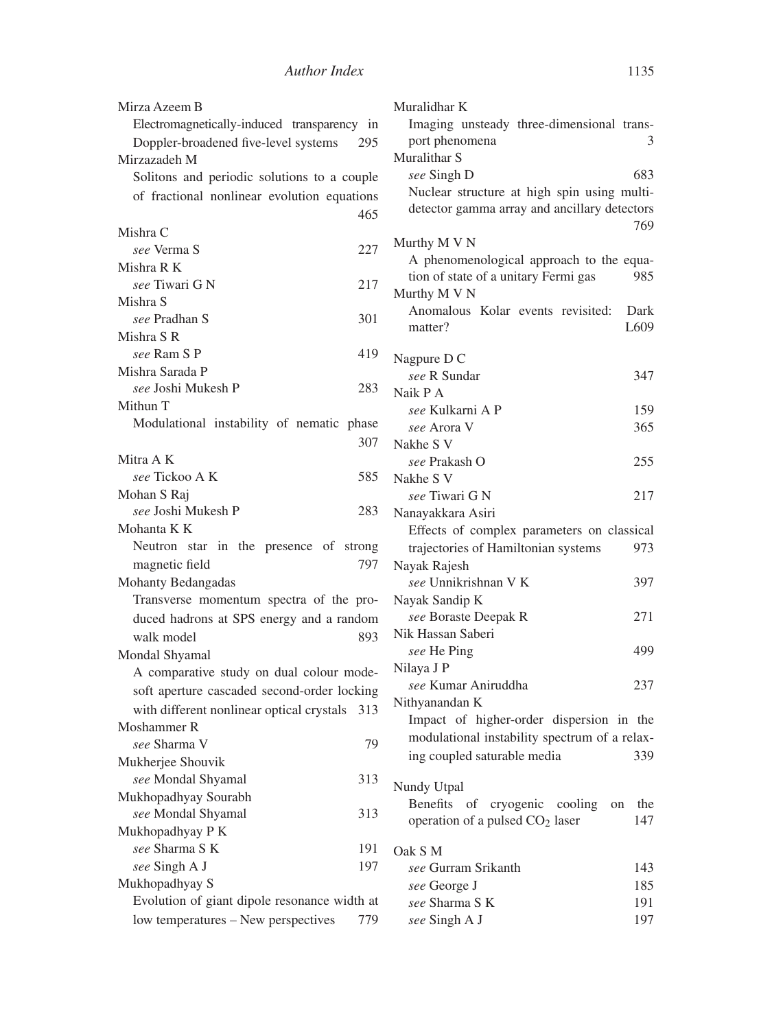| Mirza Azeem B                                 |
|-----------------------------------------------|
| Electromagnetically-induced transparency in   |
| Doppler-broadened five-level systems<br>295   |
| Mirzazadeh M                                  |
| Solitons and periodic solutions to a couple   |
| of fractional nonlinear evolution equations   |
| 465                                           |
| Mishra C                                      |
|                                               |
| see Verma S<br>227                            |
| Mishra R K                                    |
| see Tiwari G N<br>217                         |
| Mishra S                                      |
| see Pradhan S<br>301                          |
| Mishra S R                                    |
| see Ram S P<br>419                            |
| Mishra Sarada P                               |
| see Joshi Mukesh P<br>283                     |
| Mithun T                                      |
| Modulational instability of nematic phase     |
| 307                                           |
| Mitra A K                                     |
| see Tickoo A K<br>585                         |
| Mohan S Raj                                   |
| see Joshi Mukesh P<br>283                     |
| Mohanta K K                                   |
| Neutron star in the presence of strong        |
| 797<br>magnetic field                         |
| Mohanty Bedangadas                            |
| Transverse momentum spectra of the pro-       |
| duced hadrons at SPS energy and a random      |
| walk model<br>893                             |
|                                               |
| Mondal Shyamal                                |
| A comparative study on dual colour mode-      |
| soft aperture cascaded second-order locking   |
| with different nonlinear optical crystals 313 |
| Moshammer R                                   |
| see Sharma V<br>79                            |
| Mukherjee Shouvik                             |
| 313<br>see Mondal Shyamal                     |
| Mukhopadhyay Sourabh                          |
| see Mondal Shyamal<br>313                     |
| Mukhopadhyay P K                              |
| see Sharma S K<br>191                         |
| see Singh A J<br>197                          |
| Mukhopadhyay S                                |
| Evolution of giant dipole resonance width at  |
| low temperatures - New perspectives<br>779    |
|                                               |

| Muralidhar K                                  |      |
|-----------------------------------------------|------|
| Imaging unsteady three-dimensional trans-     |      |
| port phenomena                                | 3    |
| Muralithar S                                  |      |
| see Singh D                                   | 683  |
| Nuclear structure at high spin using multi-   |      |
| detector gamma array and ancillary detectors  |      |
|                                               | 769  |
| Murthy M V N                                  |      |
| A phenomenological approach to the equa-      |      |
| tion of state of a unitary Fermi gas          | 985  |
| Murthy M V N                                  |      |
| Anomalous Kolar events revisited:             | Dark |
| matter?                                       | L609 |
|                                               |      |
| Nagpure D C                                   |      |
| see R Sundar                                  | 347  |
| Naik P A                                      |      |
| see Kulkarni A P                              | 159  |
| see Arora V                                   | 365  |
| Nakhe S V                                     |      |
| see Prakash O                                 | 255  |
| Nakhe S V                                     |      |
| see Tiwari G N                                | 217  |
| Nanayakkara Asiri                             |      |
| Effects of complex parameters on classical    |      |
| trajectories of Hamiltonian systems           | 973  |
| Nayak Rajesh                                  |      |
| see Unnikrishnan V K                          | 397  |
| Nayak Sandip K                                |      |
| see Boraste Deepak R                          | 271  |
| Nik Hassan Saberi                             |      |
| see He Ping                                   | 499  |
| Nilaya J P                                    |      |
| see Kumar Aniruddha                           | 237  |
| Nithyanandan K                                |      |
| Impact of higher-order dispersion in the      |      |
| modulational instability spectrum of a relax- |      |
| ing coupled saturable media                   | 339  |
|                                               |      |
| Nundy Utpal                                   |      |
| Benefits<br>of cryogenic cooling<br>on        | the  |
| operation of a pulsed CO <sub>2</sub> laser   | 147  |
| Oak S M                                       |      |
| see Gurram Srikanth                           | 143  |
| see George J                                  | 185  |
| <i>see</i> Sharma S K                         | 191  |
| see Singh A J                                 | 197  |
|                                               |      |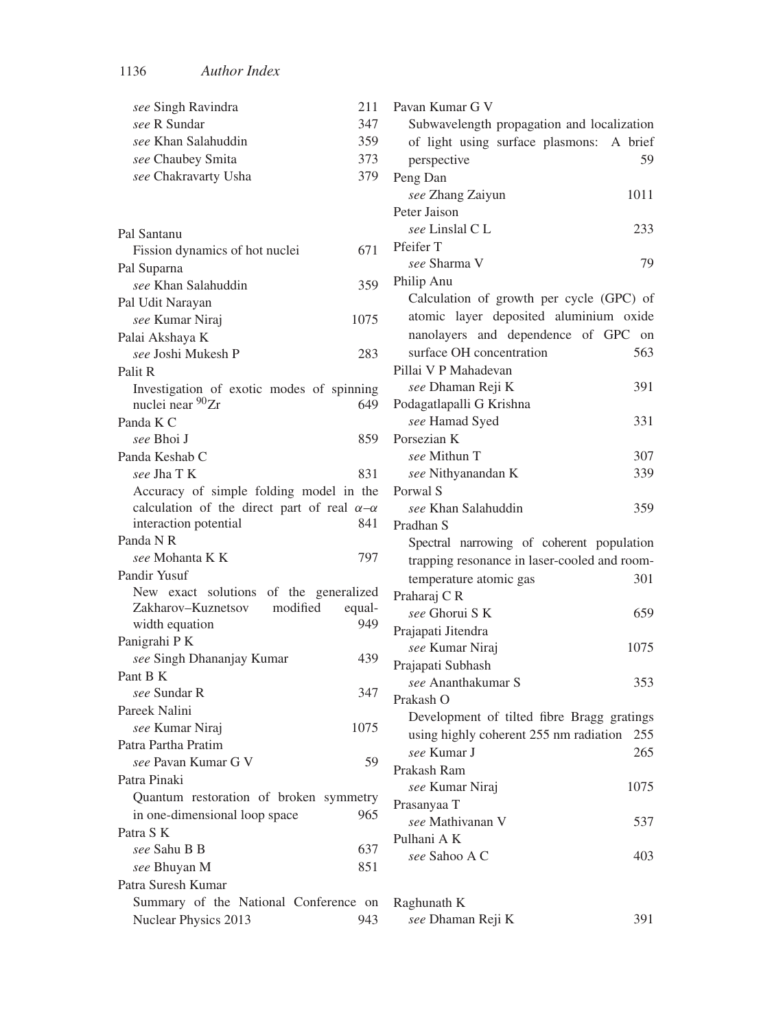| see Singh Ravindra<br>211                              | Pavan Kumar G V                              |
|--------------------------------------------------------|----------------------------------------------|
| see R Sundar<br>347                                    | Subwavelength propagation and localization   |
| see Khan Salahuddin<br>359                             | of light using surface plasmons:<br>A brief  |
| see Chaubey Smita<br>373                               | perspective<br>59                            |
| see Chakravarty Usha<br>379                            | Peng Dan                                     |
|                                                        | see Zhang Zaiyun<br>1011                     |
|                                                        | Peter Jaison                                 |
| Pal Santanu                                            | see Linslal C L<br>233                       |
| Fission dynamics of hot nuclei<br>671                  | Pfeifer T                                    |
| Pal Suparna                                            | 79<br>see Sharma V                           |
| 359<br>see Khan Salahuddin                             | Philip Anu                                   |
| Pal Udit Narayan                                       | Calculation of growth per cycle (GPC) of     |
| see Kumar Niraj<br>1075                                | atomic layer deposited aluminium oxide       |
| Palai Akshaya K                                        | nanolayers and dependence of GPC on          |
| see Joshi Mukesh P<br>283                              | surface OH concentration<br>563              |
| Palit R                                                | Pillai V P Mahadevan                         |
| Investigation of exotic modes of spinning              | see Dhaman Reji K<br>391                     |
| nuclei near <sup>90</sup> Zr<br>649                    | Podagatlapalli G Krishna                     |
| Panda K C                                              | see Hamad Syed<br>331                        |
| 859<br>see Bhoi J                                      | Porsezian K                                  |
| Panda Keshab C                                         | see Mithun T<br>307                          |
| see Jha T K<br>831                                     | see Nithyanandan K<br>339                    |
| Accuracy of simple folding model in the                | Porwal S                                     |
| calculation of the direct part of real $\alpha-\alpha$ | see Khan Salahuddin<br>359                   |
| 841<br>interaction potential                           | Pradhan S                                    |
| Panda N R                                              | Spectral narrowing of coherent population    |
| 797<br>see Mohanta K K                                 | trapping resonance in laser-cooled and room- |
| Pandir Yusuf                                           | temperature atomic gas<br>301                |
| New exact solutions of the generalized                 | Praharaj CR                                  |
| Zakharov-Kuznetsov<br>modified<br>equal-               | see Ghorui S K<br>659                        |
| 949<br>width equation                                  | Prajapati Jitendra                           |
| Panigrahi P K                                          | see Kumar Niraj<br>1075                      |
| see Singh Dhananjay Kumar<br>439                       | Prajapati Subhash                            |
| Pant B K                                               | see Ananthakumar S<br>353                    |
| see Sundar R<br>347                                    | Prakash O                                    |
| Pareek Nalini                                          | Development of tilted fibre Bragg gratings   |
| see Kumar Niraj<br>1075                                | using highly coherent 255 nm radiation 255   |
| Patra Partha Pratim                                    | see Kumar J<br>265                           |
| 59<br>see Pavan Kumar G V                              | Prakash Ram                                  |
| Patra Pinaki                                           | see Kumar Niraj<br>1075                      |
| Quantum restoration of broken symmetry                 | Prasanyaa T                                  |
| in one-dimensional loop space<br>965                   | see Mathivanan V<br>537                      |
| Patra S K                                              | Pulhani A K                                  |
| <i>see</i> Sahu B B<br>637                             | see Sahoo A C<br>403                         |
| 851<br>see Bhuyan M                                    |                                              |
| Patra Suresh Kumar                                     |                                              |
| Summary of the National Conference on                  | Raghunath K                                  |
| Nuclear Physics 2013<br>943                            | see Dhaman Reji K<br>391                     |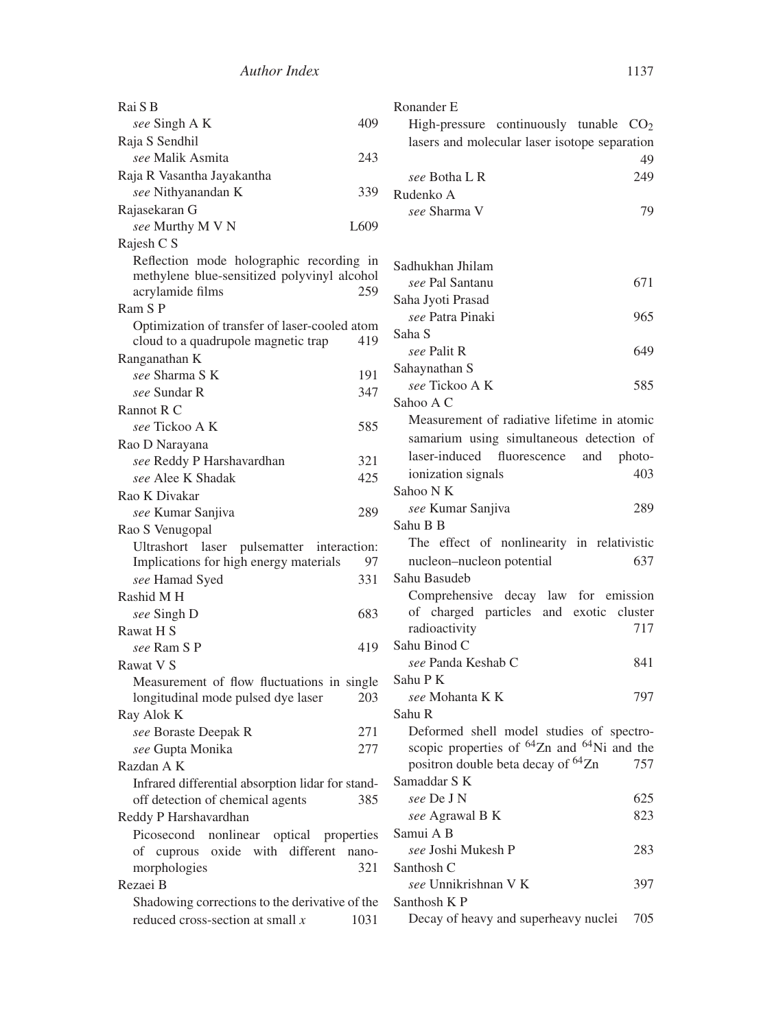| Rai S B                                              | Ronander E                                               |
|------------------------------------------------------|----------------------------------------------------------|
| 409<br>see Singh A K                                 | High-pressure continuously tunable $CO2$                 |
| Raja S Sendhil                                       | lasers and molecular laser isotope separation            |
| see Malik Asmita<br>243                              | 49                                                       |
| Raja R Vasantha Jayakantha                           | 249<br>see Botha L R                                     |
| see Nithyanandan K<br>339                            | Rudenko A                                                |
| Rajasekaran G                                        | 79<br>see Sharma V                                       |
| L609<br>see Murthy M V N                             |                                                          |
| Rajesh C S                                           |                                                          |
| Reflection mode holographic recording in             | Sadhukhan Jhilam                                         |
| methylene blue-sensitized polyvinyl alcohol          | see Pal Santanu<br>671                                   |
| acrylamide films<br>259                              | Saha Jyoti Prasad                                        |
| Ram S P                                              | see Patra Pinaki<br>965                                  |
| Optimization of transfer of laser-cooled atom<br>419 | Saha S                                                   |
| cloud to a quadrupole magnetic trap                  | 649<br>see Palit R                                       |
| Ranganathan K<br>see Sharma S K<br>191               | Sahaynathan S                                            |
| see Sundar R<br>347                                  | see Tickoo A K<br>585                                    |
| Rannot R C                                           | Sahoo A C                                                |
| 585<br>see Tickoo A K                                | Measurement of radiative lifetime in atomic              |
| Rao D Narayana                                       | samarium using simultaneous detection of                 |
| see Reddy P Harshavardhan<br>321                     | laser-induced fluorescence<br>and<br>photo-              |
| see Alee K Shadak<br>425                             | ionization signals<br>403                                |
| Rao K Divakar                                        | Sahoo N K                                                |
| 289<br>see Kumar Sanjiva                             | see Kumar Sanjiva<br>289                                 |
| Rao S Venugopal                                      | Sahu B B                                                 |
| Ultrashort laser pulsematter interaction:            | The effect of nonlinearity in relativistic               |
| Implications for high energy materials<br>97         | 637<br>nucleon-nucleon potential                         |
| 331<br>see Hamad Syed                                | Sahu Basudeb                                             |
| Rashid M H                                           | Comprehensive decay law for emission                     |
| 683<br>see Singh D                                   | of charged particles and exotic cluster                  |
| Rawat H S                                            | 717<br>radioactivity                                     |
| see Ram S P<br>419                                   | Sahu Binod C                                             |
| Rawat V S                                            | see Panda Keshab C<br>841                                |
| Measurement of flow fluctuations in single           | Sahu P K                                                 |
| longitudinal mode pulsed dye laser<br>203            | 797<br><i>see</i> Mohanta K K                            |
| Ray Alok K                                           | Sahu R                                                   |
| 271<br>see Boraste Deepak R                          | Deformed shell model studies of spectro-                 |
| 277<br>see Gupta Monika                              | scopic properties of ${}^{64}Zn$ and ${}^{64}Ni$ and the |
| Razdan A K                                           | positron double beta decay of <sup>64</sup> Zn<br>757    |
| Infrared differential absorption lidar for stand-    | Samaddar S K                                             |
| off detection of chemical agents<br>385              | see De J N<br>625                                        |
| Reddy P Harshavardhan                                | see Agrawal B K<br>823                                   |
| Picosecond nonlinear optical properties              | Samui A B                                                |
| of cuprous oxide with different nano-                | see Joshi Mukesh P<br>283                                |
| morphologies<br>321                                  | Santhosh C                                               |
| Rezaei B                                             | see Unnikrishnan V K<br>397                              |
| Shadowing corrections to the derivative of the       | Santhosh KP                                              |
| reduced cross-section at small $x$<br>1031           | Decay of heavy and superheavy nuclei<br>705              |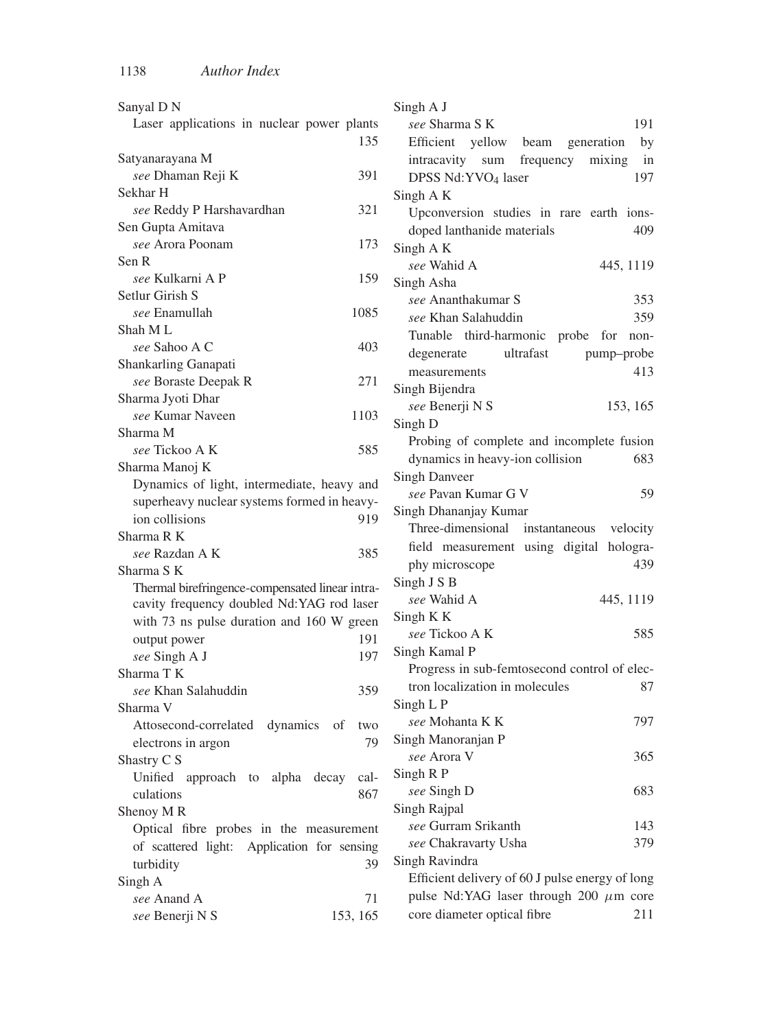| Sanyal D N                                       | Singh A J                                                                         |
|--------------------------------------------------|-----------------------------------------------------------------------------------|
| Laser applications in nuclear power plants       | see Sharma S K<br>191                                                             |
| 135                                              | Efficient yellow<br>beam<br>generation<br>by                                      |
| Satyanarayana M                                  | frequency<br>mixing<br>intracavity sum<br>in                                      |
| see Dhaman Reji K<br>391                         | 197<br>DPSS Nd:YVO <sub>4</sub> laser                                             |
| Sekhar H                                         | Singh A K                                                                         |
| see Reddy P Harshavardhan<br>321                 | Upconversion studies in rare earth ions-                                          |
| Sen Gupta Amitava                                | doped lanthanide materials<br>409                                                 |
| see Arora Poonam<br>173                          | Singh AK                                                                          |
| Sen R                                            | see Wahid A<br>445, 1119                                                          |
| see Kulkarni A P<br>159                          | Singh Asha                                                                        |
| Setlur Girish S                                  | see Ananthakumar S<br>353                                                         |
| see Enamullah<br>1085                            | 359<br>see Khan Salahuddin                                                        |
| Shah M L                                         |                                                                                   |
| see Sahoo A C<br>403                             | Tunable third-harmonic probe for non-                                             |
| Shankarling Ganapati                             | ultrafast<br>degenerate<br>pump-probe                                             |
| 271<br>see Boraste Deepak R                      | 413<br>measurements                                                               |
| Sharma Jyoti Dhar                                | Singh Bijendra                                                                    |
| see Kumar Naveen<br>1103                         | see Benerji N S<br>153, 165                                                       |
| Sharma M                                         | Singh D                                                                           |
| see Tickoo A K<br>585                            | Probing of complete and incomplete fusion                                         |
| Sharma Manoj K                                   | dynamics in heavy-ion collision<br>683                                            |
| Dynamics of light, intermediate, heavy and       | <b>Singh Danveer</b>                                                              |
| superheavy nuclear systems formed in heavy-      | see Pavan Kumar G V<br>59                                                         |
| ion collisions<br>919                            | Singh Dhananjay Kumar                                                             |
| Sharma R K                                       | Three-dimensional<br>instantaneous velocity                                       |
| see Razdan A K<br>385                            | field measurement using digital hologra-                                          |
| Sharma S K                                       | 439<br>phy microscope                                                             |
| Thermal birefringence-compensated linear intra-  | Singh J S B                                                                       |
| cavity frequency doubled Nd:YAG rod laser        | see Wahid A<br>445, 1119                                                          |
| with 73 ns pulse duration and 160 W green        | Singh K K                                                                         |
| output power<br>191                              | see Tickoo A K<br>585                                                             |
| see Singh A J<br>197                             | Singh Kamal P                                                                     |
| Sharma T K                                       | Progress in sub-femtosecond control of elec-                                      |
| see Khan Salahuddin<br>359                       | tron localization in molecules<br>87                                              |
| Sharma V                                         | Singh L P                                                                         |
| Attosecond-correlated<br>dynamics<br>of<br>two   | <i>see</i> Mohanta K K<br>797                                                     |
| 79                                               | Singh Manoranjan P                                                                |
| electrons in argon                               |                                                                                   |
|                                                  |                                                                                   |
| Shastry C S                                      | see Arora V<br>365                                                                |
| Unified approach to alpha decay cal-             | Singh R P                                                                         |
| culations<br>867                                 | see Singh D<br>683                                                                |
| Shenoy MR                                        | Singh Rajpal                                                                      |
| Optical fibre probes in the measurement          | see Gurram Srikanth<br>143                                                        |
| of scattered light: Application for sensing      | see Chakravarty Usha<br>379                                                       |
| turbidity<br>39                                  | Singh Ravindra                                                                    |
| Singh A                                          | Efficient delivery of 60 J pulse energy of long                                   |
| see Anand A<br>71<br>see Benerji N S<br>153, 165 | pulse Nd:YAG laser through 200 $\mu$ m core<br>core diameter optical fibre<br>211 |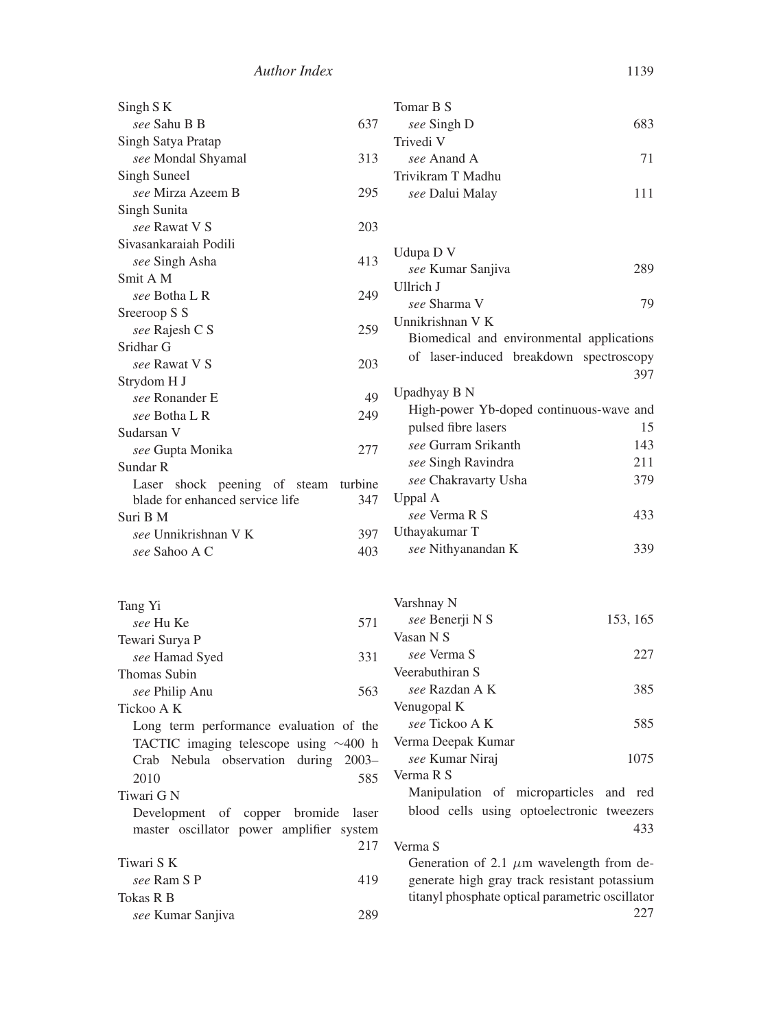| Singh S K                                   | Tomar B S                                       |
|---------------------------------------------|-------------------------------------------------|
| see Sahu B B<br>637                         | 683<br>see Singh D                              |
| Singh Satya Pratap                          | Trivedi V                                       |
| 313<br>see Mondal Shyamal                   | see Anand A<br>71                               |
| Singh Suneel                                | Trivikram T Madhu                               |
| see Mirza Azeem B<br>295                    | 111<br>see Dalui Malay                          |
| Singh Sunita                                |                                                 |
| see Rawat V S<br>203                        |                                                 |
| Sivasankaraiah Podili                       | Udupa D V                                       |
| see Singh Asha<br>413                       | 289<br>see Kumar Sanjiva                        |
| Smit A M                                    | Ullrich J                                       |
| 249<br>see Botha L R                        | see Sharma V<br>79                              |
| Sreeroop S S                                | Unnikrishnan V K                                |
| 259<br>see Rajesh C S                       | Biomedical and environmental applications       |
| Sridhar G                                   | of laser-induced breakdown spectroscopy         |
| see Rawat V S<br>203                        |                                                 |
| Strydom H J                                 | 397                                             |
| 49<br>see Ronander E                        | Upadhyay B N                                    |
| see Botha L R<br>249                        | High-power Yb-doped continuous-wave and         |
| Sudarsan V                                  | pulsed fibre lasers<br>15                       |
| see Gupta Monika<br>277                     | see Gurram Srikanth<br>143                      |
| Sundar R                                    | see Singh Ravindra<br>211                       |
| Laser shock peening of steam<br>turbine     | 379<br>see Chakravarty Usha                     |
| blade for enhanced service life<br>347      | Uppal A                                         |
| Suri B M                                    | see Verma R S<br>433                            |
| see Unnikrishnan V K<br>397                 | Uthayakumar T<br>339                            |
| see Sahoo A C<br>403                        | see Nithyanandan K                              |
| Tang Yi                                     | Varshnay N                                      |
| see Hu Ke<br>571                            | see Benerji N S<br>153, 165                     |
| Tewari Surya P                              | Vasan N S                                       |
| 331<br>see Hamad Syed                       | see Verma S<br>227                              |
| Thomas Subin                                | Veerabuthiran S                                 |
| 563<br>see Philip Anu                       | 385<br>see Razdan A K                           |
| Tickoo A K                                  | Venugopal K                                     |
| Long term performance evaluation of the     | see Tickoo A K<br>585                           |
| TACTIC imaging telescope using $\sim$ 400 h | Verma Deepak Kumar                              |
| Crab Nebula observation during 2003-        | see Kumar Niraj<br>1075                         |
| 585<br>2010                                 | Verma R S                                       |
| Tiwari G N                                  | Manipulation of microparticles and red          |
| Development of copper bromide<br>laser      | blood cells using optoelectronic tweezers       |
| master oscillator power amplifier system    | 433                                             |
| 217                                         | Verma S                                         |
| Tiwari S K                                  | Generation of 2.1 $\mu$ m wavelength from de-   |
| see Ram S P<br>419                          | generate high gray track resistant potassium    |
| Tokas R B                                   | titanyl phosphate optical parametric oscillator |
| see Kumar Sanjiva<br>289                    | 227                                             |
|                                             |                                                 |